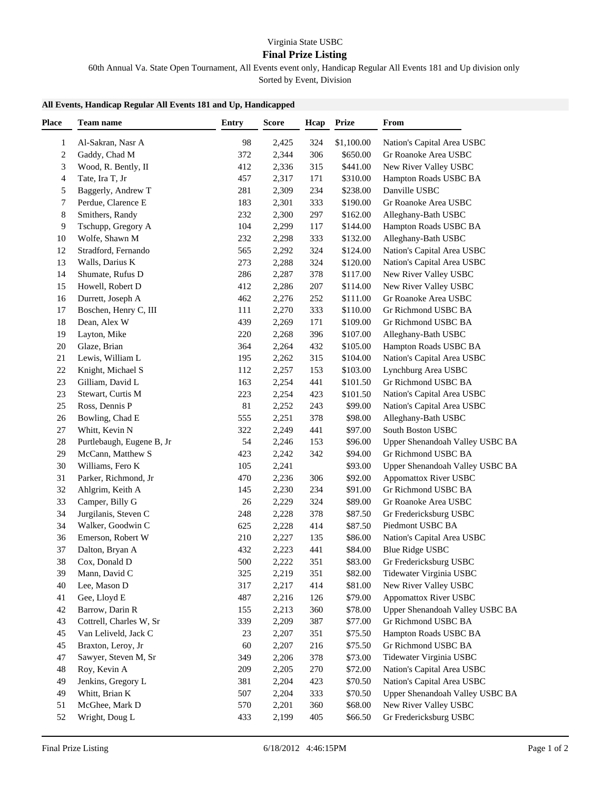## **Final Prize Listing**

60th Annual Va. State Open Tournament, All Events event only, Handicap Regular All Events 181 and Up division only

Sorted by Event, Division

## **All Events, Handicap Regular All Events 181 and Up, Handicapped**

| <b>Place</b> | Team name                 | Entry | <b>Score</b> | Hcap | <b>Prize</b> | From                            |
|--------------|---------------------------|-------|--------------|------|--------------|---------------------------------|
| 1            | Al-Sakran, Nasr A         | 98    | 2,425        | 324  | \$1,100.00   | Nation's Capital Area USBC      |
| 2            | Gaddy, Chad M             | 372   | 2,344        | 306  | \$650.00     | Gr Roanoke Area USBC            |
| 3            | Wood, R. Bently, II       | 412   | 2,336        | 315  | \$441.00     | New River Valley USBC           |
| 4            | Tate, Ira T, Jr           | 457   | 2,317        | 171  | \$310.00     | Hampton Roads USBC BA           |
| 5            | Baggerly, Andrew T        | 281   | 2,309        | 234  | \$238.00     | Danville USBC                   |
| 7            | Perdue, Clarence E        | 183   | 2,301        | 333  | \$190.00     | Gr Roanoke Area USBC            |
| 8            | Smithers, Randy           | 232   | 2,300        | 297  | \$162.00     | Alleghany-Bath USBC             |
| 9            | Tschupp, Gregory A        | 104   | 2,299        | 117  | \$144.00     | Hampton Roads USBC BA           |
| 10           | Wolfe, Shawn M            | 232   | 2,298        | 333  | \$132.00     | Alleghany-Bath USBC             |
| 12           | Stradford, Fernando       | 565   | 2,292        | 324  | \$124.00     | Nation's Capital Area USBC      |
| 13           | Walls, Darius K           | 273   | 2,288        | 324  | \$120.00     | Nation's Capital Area USBC      |
| 14           | Shumate, Rufus D          | 286   | 2,287        | 378  | \$117.00     | New River Valley USBC           |
| 15           | Howell, Robert D          | 412   | 2,286        | 207  | \$114.00     | New River Valley USBC           |
| 16           | Durrett, Joseph A         | 462   | 2,276        | 252  | \$111.00     | Gr Roanoke Area USBC            |
| 17           | Boschen, Henry C, III     | 111   | 2,270        | 333  | \$110.00     | Gr Richmond USBC BA             |
| 18           | Dean, Alex W              | 439   | 2,269        | 171  | \$109.00     | Gr Richmond USBC BA             |
| 19           | Layton, Mike              | 220   | 2,268        | 396  | \$107.00     | Alleghany-Bath USBC             |
| 20           | Glaze, Brian              | 364   | 2,264        | 432  | \$105.00     | Hampton Roads USBC BA           |
| 21           | Lewis, William L          | 195   | 2,262        | 315  | \$104.00     | Nation's Capital Area USBC      |
| $22\,$       | Knight, Michael S         | 112   | 2,257        | 153  | \$103.00     | Lynchburg Area USBC             |
| 23           | Gilliam, David L          | 163   | 2,254        | 441  | \$101.50     | Gr Richmond USBC BA             |
| 23           | Stewart, Curtis M         | 223   | 2,254        | 423  | \$101.50     | Nation's Capital Area USBC      |
| 25           | Ross, Dennis P            | 81    | 2,252        | 243  | \$99.00      | Nation's Capital Area USBC      |
| 26           | Bowling, Chad E           | 555   | 2,251        | 378  | \$98.00      | Alleghany-Bath USBC             |
| 27           | Whitt, Kevin N            | 322   | 2,249        | 441  | \$97.00      | South Boston USBC               |
| 28           | Purtlebaugh, Eugene B, Jr | 54    | 2,246        | 153  | \$96.00      | Upper Shenandoah Valley USBC BA |
| 29           | McCann, Matthew S         | 423   | 2,242        | 342  | \$94.00      | Gr Richmond USBC BA             |
| 30           | Williams, Fero K          | 105   | 2,241        |      | \$93.00      | Upper Shenandoah Valley USBC BA |
| 31           | Parker, Richmond, Jr      | 470   | 2,236        | 306  | \$92.00      | Appomattox River USBC           |
| 32           | Ahlgrim, Keith A          | 145   | 2,230        | 234  | \$91.00      | Gr Richmond USBC BA             |
| 33           | Camper, Billy G           | 26    | 2,229        | 324  | \$89.00      | Gr Roanoke Area USBC            |
| 34           | Jurgilanis, Steven C      | 248   | 2,228        | 378  | \$87.50      | Gr Fredericksburg USBC          |
| 34           | Walker, Goodwin C         | 625   | 2,228        | 414  | \$87.50      | Piedmont USBC BA                |
| 36           | Emerson, Robert W         | 210   | 2,227        | 135  | \$86.00      | Nation's Capital Area USBC      |
| 37           | Dalton, Bryan A           | 432   | 2,223        | 441  | \$84.00      | <b>Blue Ridge USBC</b>          |
| 38           | Cox, Donald D             | 500   | 2,222        | 351  | \$83.00      | Gr Fredericksburg USBC          |
| 39           | Mann, David C             | 325   | 2,219        | 351  | \$82.00      | Tidewater Virginia USBC         |
| 40           | Lee, Mason D              | 317   | 2,217        | 414  | \$81.00      | New River Valley USBC           |
| 41           | Gee, Lloyd E              | 487   | 2,216        | 126  | \$79.00      | <b>Appomattox River USBC</b>    |
| 42           | Barrow, Darin R           | 155   | 2,213        | 360  | \$78.00      | Upper Shenandoah Valley USBC BA |
| 43           | Cottrell, Charles W, Sr   | 339   | 2,209        | 387  | \$77.00      | Gr Richmond USBC BA             |
| 45           | Van Leliveld, Jack C      | 23    | 2,207        | 351  | \$75.50      | Hampton Roads USBC BA           |
| 45           | Braxton, Leroy, Jr        | 60    | 2,207        | 216  | \$75.50      | Gr Richmond USBC BA             |
| 47           | Sawyer, Steven M, Sr      | 349   | 2,206        | 378  | \$73.00      | Tidewater Virginia USBC         |
| 48           | Roy, Kevin A              | 209   | 2,205        | 270  | \$72.00      | Nation's Capital Area USBC      |
| 49           | Jenkins, Gregory L        | 381   | 2,204        | 423  | \$70.50      | Nation's Capital Area USBC      |
| 49           | Whitt, Brian K            | 507   | 2,204        | 333  | \$70.50      | Upper Shenandoah Valley USBC BA |
| 51           | McGhee, Mark D            | 570   | 2,201        | 360  | \$68.00      | New River Valley USBC           |
| 52           | Wright, Doug L            | 433   | 2,199        | 405  | \$66.50      | Gr Fredericksburg USBC          |
|              |                           |       |              |      |              |                                 |